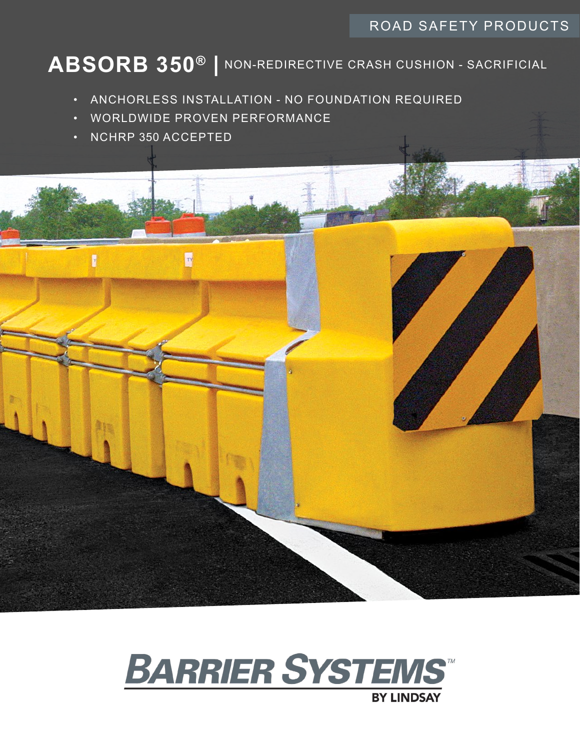# ROAD SAFETY PRODUCTS

# **ABSORB 350® |** NON-REDIRECTIVE CRASH CUSHION - SACRIFICIAL

- ANCHORLESS INSTALLATION NO FOUNDATION REQUIRED
- WORLDWIDE PROVEN PERFORMANCE
- NCHRP 350 ACCEPTED